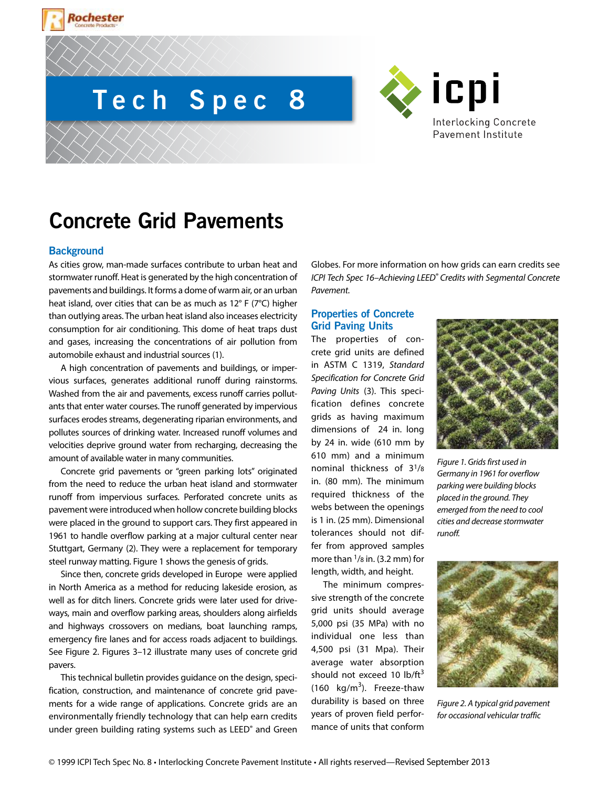# **Tech Spec 8**



# **Concrete Grid Pavements**

#### **Background**

Rochester

As cities grow, man-made surfaces contribute to urban heat and stormwater runoff. Heat is generated by the high concentration of pavements and buildings. It forms a dome of warm air, or an urban heat island, over cities that can be as much as 12° F (7°C) higher than outlying areas. The urban heat island also inceases electricity consumption for air conditioning. This dome of heat traps dust and gases, increasing the concentrations of air pollution from automobile exhaust and industrial sources (1).

A high concentration of pavements and buildings, or impervious surfaces, generates additional runoff during rainstorms. Washed from the air and pavements, excess runoff carries pollutants that enter water courses. The runoff generated by impervious surfaces erodes streams, degenerating riparian environments, and pollutes sources of drinking water. Increased runoff volumes and velocities deprive ground water from recharging, decreasing the amount of available water in many communities.

Concrete grid pavements or "green parking lots" originated from the need to reduce the urban heat island and stormwater runoff from impervious surfaces. Perforated concrete units as pavement were introduced when hollow concrete building blocks were placed in the ground to support cars. They first appeared in 1961 to handle overflow parking at a major cultural center near Stuttgart, Germany (2). They were a replacement for temporary steel runway matting. Figure 1 shows the genesis of grids.

Since then, concrete grids developed in Europe were applied in North America as a method for reducing lakeside erosion, as well as for ditch liners. Concrete grids were later used for driveways, main and overflow parking areas, shoulders along airfields and highways crossovers on medians, boat launching ramps, emergency fire lanes and for access roads adjacent to buildings. See Figure 2. Figures 3–12 illustrate many uses of concrete grid pavers.

This technical bulletin provides guidance on the design, specification, construction, and maintenance of concrete grid pavements for a wide range of applications. Concrete grids are an environmentally friendly technology that can help earn credits under green building rating systems such as LEED® and Green Globes. For more information on how grids can earn credits see *ICPI Tech Spec 16–Achieving LEED® Credits with Segmental Concrete Pavement.*

# **Properties of Concrete Grid Paving Units**

The properties of concrete grid units are defined in ASTM C 1319, *Standard Specification for Concrete Grid Paving Units* (3). This specification defines concrete grids as having maximum dimensions of 24 in. long by 24 in. wide (610 mm by 610 mm) and a minimum nominal thickness of 31/8 in. (80 mm). The minimum required thickness of the webs between the openings is 1 in. (25 mm). Dimensional tolerances should not differ from approved samples more than  $\frac{1}{8}$  in. (3.2 mm) for length, width, and height.

The minimum compressive strength of the concrete grid units should average 5,000 psi (35 MPa) with no individual one less than 4,500 psi (31 Mpa). Their average water absorption should not exceed 10  $\text{lb/ft}^3$ (160  $\text{kg/m}^3$ ). Freeze-thaw durability is based on three years of proven field performance of units that conform



*Figure 1. Grids first used in Germany in 1961 for overflow parking were building blocks placed in the ground. They emerged from the need to cool cities and decrease stormwater runoff.*



*Figure 2. A typical grid pavement for occasional vehicular traffic*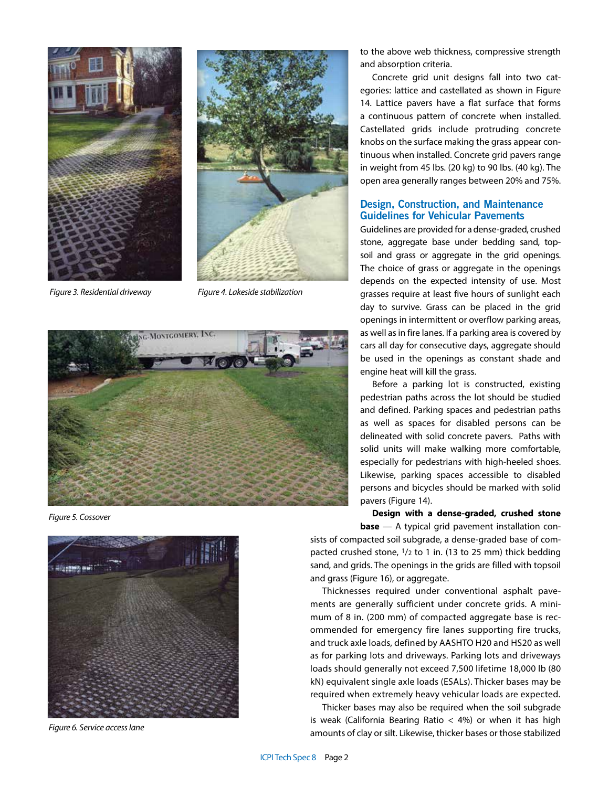



*Figure 3. Residential driveway Figure 4. Lakeside stabilization*



*Figure 5. Cossover*



*Figure 6. Service access lane*

to the above web thickness, compressive strength and absorption criteria.

Concrete grid unit designs fall into two categories: lattice and castellated as shown in Figure 14. Lattice pavers have a flat surface that forms a continuous pattern of concrete when installed. Castellated grids include protruding concrete knobs on the surface making the grass appear continuous when installed. Concrete grid pavers range in weight from 45 lbs. (20 kg) to 90 lbs. (40 kg). The open area generally ranges between 20% and 75%.

# **Design, Construction, and Maintenance Guidelines for Vehicular Pavements**

Guidelines are provided for a dense-graded, crushed stone, aggregate base under bedding sand, topsoil and grass or aggregate in the grid openings. The choice of grass or aggregate in the openings depends on the expected intensity of use. Most grasses require at least five hours of sunlight each day to survive. Grass can be placed in the grid openings in intermittent or overflow parking areas, as well as in fire lanes. If a parking area is covered by cars all day for consecutive days, aggregate should be used in the openings as constant shade and engine heat will kill the grass.

Before a parking lot is constructed, existing pedestrian paths across the lot should be studied and defined. Parking spaces and pedestrian paths as well as spaces for disabled persons can be delineated with solid concrete pavers. Paths with solid units will make walking more comfortable, especially for pedestrians with high-heeled shoes. Likewise, parking spaces accessible to disabled persons and bicycles should be marked with solid pavers (Figure 14).

**Design with a dense-graded, crushed stone** 

**base** — A typical grid pavement installation consists of compacted soil subgrade, a dense-graded base of compacted crushed stone, 1/2 to 1 in. (13 to 25 mm) thick bedding sand, and grids. The openings in the grids are filled with topsoil and grass (Figure 16), or aggregate.

Thicknesses required under conventional asphalt pavements are generally sufficient under concrete grids. A minimum of 8 in. (200 mm) of compacted aggregate base is recommended for emergency fire lanes supporting fire trucks, and truck axle loads, defined by AASHTO H20 and HS20 as well as for parking lots and driveways. Parking lots and driveways loads should generally not exceed 7,500 lifetime 18,000 lb (80 kN) equivalent single axle loads (ESALs). Thicker bases may be required when extremely heavy vehicular loads are expected.

Thicker bases may also be required when the soil subgrade is weak (California Bearing Ratio  $<$  4%) or when it has high amounts of clay or silt. Likewise, thicker bases or those stabilized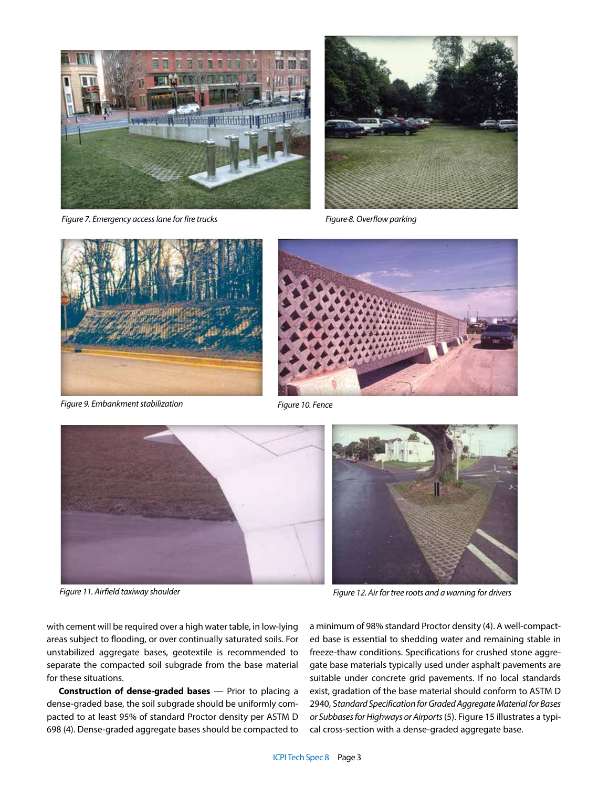

*Figure 7. Emergency access lane for fire trucks Figure 8. Overflow parking*





*Figure 9. Embankment stabilization Figure 10. Fence*





*Figure 11. Airfield taxiway shoulder Figure 12. Air for tree roots and a warning for drivers*

with cement will be required over a high water table, in low-lying areas subject to flooding, or over continually saturated soils. For unstabilized aggregate bases, geotextile is recommended to separate the compacted soil subgrade from the base material for these situations.

**Construction of dense-graded bases** — Prior to placing a dense-graded base, the soil subgrade should be uniformly compacted to at least 95% of standard Proctor density per ASTM D 698 (4). Dense-graded aggregate bases should be compacted to

a minimum of 98% standard Proctor density (4). A well-compacted base is essential to shedding water and remaining stable in freeze-thaw conditions. Specifications for crushed stone aggregate base materials typically used under asphalt pavements are suitable under concrete grid pavements. If no local standards exist, gradation of the base material should conform to ASTM D 2940, S*tandard Specification for Graded Aggregate Material for Bases or Subbases for Highways or Airports* (5). Figure 15 illustrates a typical cross-section with a dense-graded aggregate base.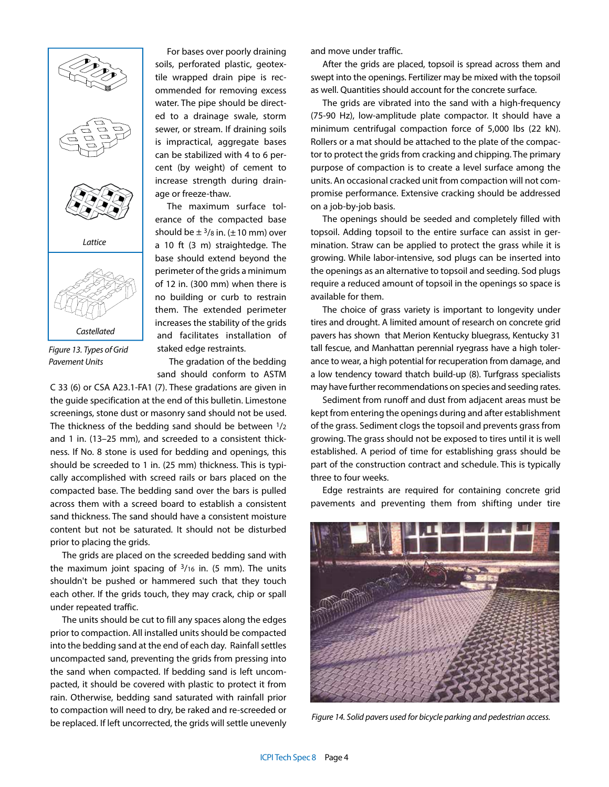

*Figure 13. Types of Grid Pavement Units*

For bases over poorly draining soils, perforated plastic, geotextile wrapped drain pipe is recommended for removing excess water. The pipe should be directed to a drainage swale, storm sewer, or stream. If draining soils is impractical, aggregate bases can be stabilized with 4 to 6 percent (by weight) of cement to increase strength during drainage or freeze-thaw.

The maximum surface tolerance of the compacted base should be  $\pm$  <sup>3</sup>/8 in. ( $\pm$  10 mm) over a 10 ft (3 m) straightedge. The base should extend beyond the perimeter of the grids a minimum of 12 in. (300 mm) when there is no building or curb to restrain them. The extended perimeter increases the stability of the grids and facilitates installation of staked edge restraints.

The gradation of the bedding sand should conform to ASTM

C 33 (6) or CSA A23.1-FA1 (7). These gradations are given in the guide specification at the end of this bulletin. Limestone screenings, stone dust or masonry sand should not be used. The thickness of the bedding sand should be between 1/2 and 1 in. (13–25 mm), and screeded to a consistent thickness. If No. 8 stone is used for bedding and openings, this should be screeded to 1 in. (25 mm) thickness. This is typically accomplished with screed rails or bars placed on the compacted base. The bedding sand over the bars is pulled across them with a screed board to establish a consistent sand thickness. The sand should have a consistent moisture content but not be saturated. It should not be disturbed prior to placing the grids.

The grids are placed on the screeded bedding sand with the maximum joint spacing of  $3/16$  in. (5 mm). The units shouldn't be pushed or hammered such that they touch each other. If the grids touch, they may crack, chip or spall under repeated traffic.

The units should be cut to fill any spaces along the edges prior to compaction. All installed units should be compacted into the bedding sand at the end of each day. Rainfall settles uncompacted sand, preventing the grids from pressing into the sand when compacted. If bedding sand is left uncompacted, it should be covered with plastic to protect it from rain. Otherwise, bedding sand saturated with rainfall prior to compaction will need to dry, be raked and re-screeded or be replaced. If left uncorrected, the grids will settle unevenly

and move under traffic.

After the grids are placed, topsoil is spread across them and swept into the openings. Fertilizer may be mixed with the topsoil as well. Quantities should account for the concrete surface.

The grids are vibrated into the sand with a high-frequency (75-90 Hz), low-amplitude plate compactor. It should have a minimum centrifugal compaction force of 5,000 lbs (22 kN). Rollers or a mat should be attached to the plate of the compactor to protect the grids from cracking and chipping. The primary purpose of compaction is to create a level surface among the units. An occasional cracked unit from compaction will not compromise performance. Extensive cracking should be addressed on a job-by-job basis.

The openings should be seeded and completely filled with topsoil. Adding topsoil to the entire surface can assist in germination. Straw can be applied to protect the grass while it is growing. While labor-intensive, sod plugs can be inserted into the openings as an alternative to topsoil and seeding. Sod plugs require a reduced amount of topsoil in the openings so space is available for them.

The choice of grass variety is important to longevity under tires and drought. A limited amount of research on concrete grid pavers has shown that Merion Kentucky bluegrass, Kentucky 31 tall fescue, and Manhattan perennial ryegrass have a high tolerance to wear, a high potential for recuperation from damage, and a low tendency toward thatch build-up (8). Turfgrass specialists may have further recommendations on species and seeding rates.

Sediment from runoff and dust from adjacent areas must be kept from entering the openings during and after establishment of the grass. Sediment clogs the topsoil and prevents grass from growing. The grass should not be exposed to tires until it is well established. A period of time for establishing grass should be part of the construction contract and schedule. This is typically three to four weeks.

Edge restraints are required for containing concrete grid pavements and preventing them from shifting under tire



*Figure 14. Solid pavers used for bicycle parking and pedestrian access.*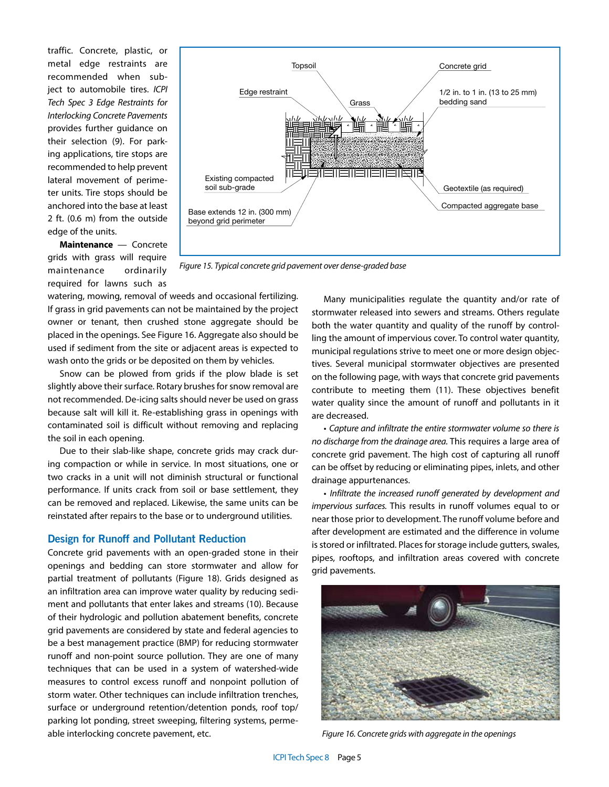traffic. Concrete, plastic, or metal edge restraints are recommended when subject to automobile tires. *ICPI Tech Spec 3 Edge Restraints for Interlocking Concrete Pavements* provides further guidance on their selection (9). For parking applications, tire stops are recommended to help prevent lateral movement of perimeter units. Tire stops should be anchored into the base at least 2 ft. (0.6 m) from the outside edge of the units.

**Maintenance** — Concrete grids with grass will require maintenance ordinarily required for lawns such as



*Figure 15. Typical concrete grid pavement over dense-graded base* 

watering, mowing, removal of weeds and occasional fertilizing. If grass in grid pavements can not be maintained by the project owner or tenant, then crushed stone aggregate should be placed in the openings. See Figure 16. Aggregate also should be used if sediment from the site or adjacent areas is expected to wash onto the grids or be deposited on them by vehicles.

Snow can be plowed from grids if the plow blade is set slightly above their surface. Rotary brushes for snow removal are not recommended. De-icing salts should never be used on grass because salt will kill it. Re-establishing grass in openings with contaminated soil is difficult without removing and replacing the soil in each opening.

Due to their slab-like shape, concrete grids may crack during compaction or while in service. In most situations, one or two cracks in a unit will not diminish structural or functional performance. If units crack from soil or base settlement, they can be removed and replaced. Likewise, the same units can be reinstated after repairs to the base or to underground utilities.

#### **Design for Runoff and Pollutant Reduction**

Concrete grid pavements with an open-graded stone in their openings and bedding can store stormwater and allow for partial treatment of pollutants (Figure 18). Grids designed as an infiltration area can improve water quality by reducing sediment and pollutants that enter lakes and streams (10). Because of their hydrologic and pollution abatement benefits, concrete grid pavements are considered by state and federal agencies to be a best management practice (BMP) for reducing stormwater runoff and non-point source pollution. They are one of many techniques that can be used in a system of watershed-wide measures to control excess runoff and nonpoint pollution of storm water. Other techniques can include infiltration trenches, surface or underground retention/detention ponds, roof top/ parking lot ponding, street sweeping, filtering systems, permeable interlocking concrete pavement, etc.

Many municipalities regulate the quantity and/or rate of stormwater released into sewers and streams. Others regulate both the water quantity and quality of the runoff by controlling the amount of impervious cover. To control water quantity, municipal regulations strive to meet one or more design objectives. Several municipal stormwater objectives are presented on the following page, with ways that concrete grid pavements contribute to meeting them (11). These objectives benefit water quality since the amount of runoff and pollutants in it are decreased.

• *Capture and infiltrate the entire stormwater volume so there is no discharge from the drainage area.* This requires a large area of concrete grid pavement. The high cost of capturing all runoff can be offset by reducing or eliminating pipes, inlets, and other drainage appurtenances.

• *Infiltrate the increased runoff generated by development and impervious surfaces.* This results in runoff volumes equal to or near those prior to development. The runoff volume before and after development are estimated and the difference in volume is stored or infiltrated. Places for storage include gutters, swales, pipes, rooftops, and infiltration areas covered with concrete grid pavements.



*Figure 16. Concrete grids with aggregate in the openings*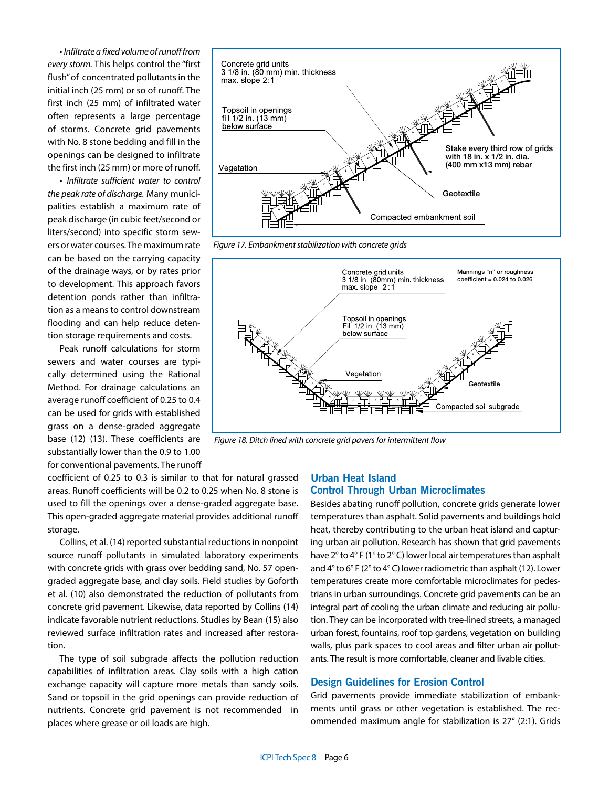• *Infiltrate a fixed volume of runoff from every storm.* This helps control the "first flush" of concentrated pollutants in the initial inch (25 mm) or so of runoff. The first inch (25 mm) of infiltrated water often represents a large percentage of storms. Concrete grid pavements with No. 8 stone bedding and fill in the openings can be designed to infiltrate the first inch (25 mm) or more of runoff.

• *Infiltrate sufficient water to control the peak rate of discharge.* Many municipalities establish a maximum rate of peak discharge (in cubic feet/second or liters/second) into specific storm sewers or water courses. The maximum rate can be based on the carrying capacity of the drainage ways, or by rates prior to development. This approach favors detention ponds rather than infiltration as a means to control downstream flooding and can help reduce detention storage requirements and costs.

Peak runoff calculations for storm sewers and water courses are typically determined using the Rational Method. For drainage calculations an average runoff coefficient of 0.25 to 0.4 can be used for grids with established grass on a dense-graded aggregate base (12) (13). These coefficients are substantially lower than the 0.9 to 1.00 for conventional pavements. The runoff

coefficient of 0.25 to 0.3 is similar to that for natural grassed areas. Runoff coefficients will be 0.2 to 0.25 when No. 8 stone is used to fill the openings over a dense-graded aggregate base. This open-graded aggregate material provides additional runoff storage.

Collins, et al. (14) reported substantial reductions in nonpoint source runoff pollutants in simulated laboratory experiments with concrete grids with grass over bedding sand, No. 57 opengraded aggregate base, and clay soils. Field studies by Goforth et al. (10) also demonstrated the reduction of pollutants from concrete grid pavement. Likewise, data reported by Collins (14) indicate favorable nutrient reductions. Studies by Bean (15) also reviewed surface infiltration rates and increased after restoration.

The type of soil subgrade affects the pollution reduction capabilities of infiltration areas. Clay soils with a high cation exchange capacity will capture more metals than sandy soils. Sand or topsoil in the grid openings can provide reduction of nutrients. Concrete grid pavement is not recommended in places where grease or oil loads are high.



*Figure 17. Embankment stabilization with concrete grids*



*Figure 18. Ditch lined with concrete grid pavers for intermittent flow*

#### **Urban Heat Island Control Through Urban Microclimates**

Besides abating runoff pollution, concrete grids generate lower temperatures than asphalt. Solid pavements and buildings hold heat, thereby contributing to the urban heat island and capturing urban air pollution. Research has shown that grid pavements have 2° to 4° F (1° to 2° C) lower local air temperatures than asphalt and 4° to 6° F (2° to 4° C) lower radiometric than asphalt (12). Lower temperatures create more comfortable microclimates for pedestrians in urban surroundings. Concrete grid pavements can be an integral part of cooling the urban climate and reducing air pollution. They can be incorporated with tree-lined streets, a managed urban forest, fountains, roof top gardens, vegetation on building walls, plus park spaces to cool areas and filter urban air pollutants. The result is more comfortable, cleaner and livable cities.

#### **Design Guidelines for Erosion Control**

Grid pavements provide immediate stabilization of embankments until grass or other vegetation is established. The recommended maximum angle for stabilization is 27° (2:1). Grids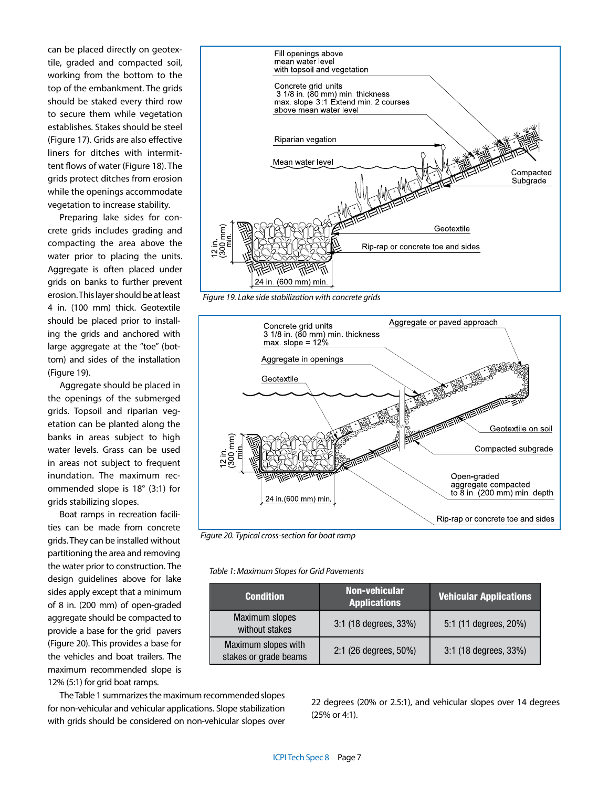can be placed directly on geotextile, graded and compacted soil, working from the bottom to the top of the embankment. The grids should be staked every third row to secure them while vegetation establishes. Stakes should be steel (Figure 17). Grids are also effective liners for ditches with intermittent flows of water (Figure 18). The grids protect ditches from erosion while the openings accommodate vegetation to increase stability.

Preparing lake sides for concrete grids includes grading and compacting the area above the water prior to placing the units. Aggregate is often placed under grids on banks to further prevent erosion. This layer should be at least 4 in. (100 mm) thick. Geotextile should be placed prior to installing the grids and anchored with large aggregate at the "toe" (bottom) and sides of the installation (Figure 19).

Aggregate should be placed in the openings of the submerged grids. Topsoil and riparian vegetation can be planted along the banks in areas subject to high water levels. Grass can be used in areas not subject to frequent inundation. The maximum recommended slope is 18° (3:1) for grids stabilizing slopes.

Boat ramps in recreation facilities can be made from concrete grids. They can be installed without partitioning the area and removing the water prior to construction. The design guidelines above for lake sides apply except that a minimum of 8 in. (200 mm) of open-graded aggregate should be compacted to provide a base for the grid pavers (Figure 20). This provides a base for the vehicles and boat trailers. The maximum recommended slope is 12% (5:1) for grid boat ramps.



*Figure 19. Lake side stabilization with concrete grids*



*Figure 20. Typical cross-section for boat ramp*

*Table 1: Maximum Slopes for Grid Pavements*

| <b>Condition</b>                             | <b>Non-vehicular</b><br><b>Applications</b> | <b>Vehicular Applications</b> |
|----------------------------------------------|---------------------------------------------|-------------------------------|
| Maximum slopes<br>without stakes             | 3:1 (18 degrees, 33%)                       | 5:1 (11 degrees, 20%)         |
| Maximum slopes with<br>stakes or grade beams | 2:1 (26 degrees, 50%)                       | 3:1 (18 degrees, 33%)         |

The Table 1 summarizes the maximum recommended slopes for non-vehicular and vehicular applications. Slope stabilization with grids should be considered on non-vehicular slopes over

22 degrees (20% or 2.5:1), and vehicular slopes over 14 degrees (25% or 4:1).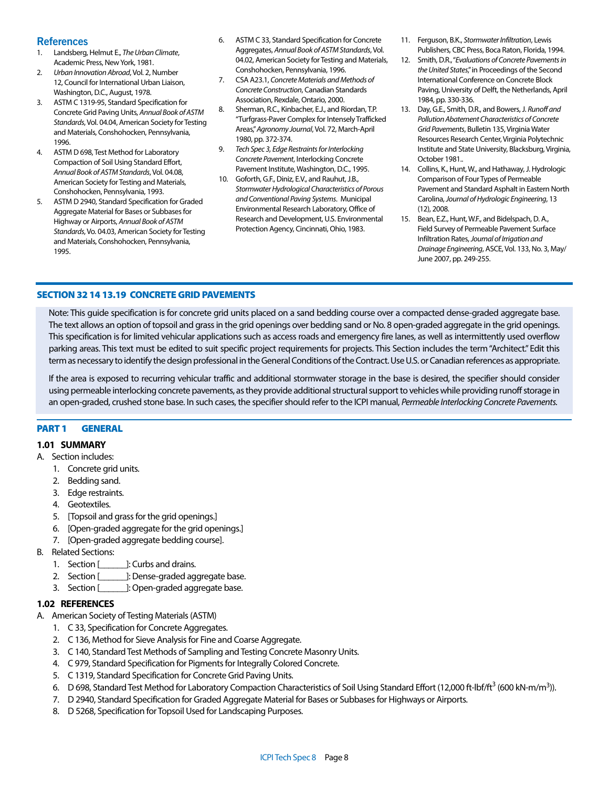# **References**

- 1. Landsberg, Helmut E., *The Urban Climate*, Academic Press, New York, 1981.
- 2. *Urban Innovation Abroad*, Vol. 2, Number 12, Council for International Urban Liaison, Washington, D.C., August, 1978.
- 3. ASTM C 1319-95, Standard Specification for Concrete Grid Paving Units, *Annual Book of ASTM Standards*, Vol. 04.04, American Society for Testing and Materials, Conshohocken, Pennsylvania, 1996.
- 4. ASTM D 698, Test Method for Laboratory Compaction of Soil Using Standard Effort, *Annual Book of ASTM Standards*, Vol. 04.08, American Society for Testing and Materials, Conshohocken, Pennsylvania, 1993.
- 5. ASTM D 2940, Standard Specification for Graded Aggregate Material for Bases or Subbases for Highway or Airports, *Annual Book of ASTM Standards*, Vo. 04.03, American Society for Testing and Materials, Conshohocken, Pennsylvania, 1995.
- 6. ASTM C 33, Standard Specification for Concrete Aggregates, *Annual Book of ASTM Standards*, Vol. 04.02, American Society for Testing and Materials, Conshohocken, Pennsylvania, 1996.
- 7. CSA A23.1, *Concrete Materials and Methods of Concrete Construction*, Canadian Standards Association, Rexdale, Ontario, 2000.
- 8. Sherman, R.C., Kinbacher, E.J., and Riordan, T.P. "Turfgrass-Paver Complex for Intensely Trafficked Areas," *Agronomy Journal*, Vol. 72, March-April 1980, pp. 372-374.
- 9. *Tech Spec 3, Edge Restraints for Interlocking Concrete Pavement*, Interlocking Concrete Pavement Institute, Washington, D.C., 1995.
- 10. Goforth, G.F., Diniz, E.V., and Rauhut, J.B., *Stormwater Hydrological Characteristics of Porous and Conventional Paving Systems*. Municipal Environmental Research Laboratory, Office of Research and Development, U.S. Environmental Protection Agency, Cincinnati, Ohio, 1983.
- 11. Ferguson, B.K., *Stormwater Infiltration*, Lewis Publishers, CBC Press, Boca Raton, Florida, 1994.
- 12. Smith, D.R., "*Evaluations of Concrete Pavements in the United States*," in Proceedings of the Second International Conference on Concrete Block Paving, University of Delft, the Netherlands, April 1984, pp. 330-336.
- 13. Day, G.E., Smith, D.R., and Bowers, J. *Runoff and Pollution Abatement Characteristics of Concrete Grid Pavements*, Bulletin 135, Virginia Water Resources Research Center, Virginia Polytechnic Institute and State University, Blacksburg, Virginia, October 1981..
- 14. Collins, K., Hunt, W., and Hathaway, J. Hydrologic Comparison of Four Types of Permeable Pavement and Standard Asphalt in Eastern North Carolina, *Journal of Hydrologic Engineering*, 13 (12), 2008.
- 15. Bean, E.Z., Hunt, W.F., and Bidelspach, D. A., Field Survey of Permeable Pavement Surface Infiltration Rates, *Journal of Irrigation and Drainage Engineering*, ASCE, Vol. 133, No. 3, May/ June 2007, pp. 249-255.

## SECTION 32 14 13.19 CONCRETE GRID PAVEMENTS

Note: This guide specification is for concrete grid units placed on a sand bedding course over a compacted dense-graded aggregate base. The text allows an option of topsoil and grass in the grid openings over bedding sand or No. 8 open-graded aggregate in the grid openings. This specification is for limited vehicular applications such as access roads and emergency fire lanes, as well as intermittently used overflow parking areas. This text must be edited to suit specific project requirements for projects. This Section includes the term "Architect." Edit this term as necessary to identify the design professional in the General Conditions of the Contract. Use U.S. or Canadian references as appropriate.

If the area is exposed to recurring vehicular traffic and additional stormwater storage in the base is desired, the specifier should consider using permeable interlocking concrete pavements, as they provide additional structural support to vehicles while providing runoff storage in an open-graded, crushed stone base. In such cases, the specifier should refer to the ICPI manual, *Permeable Interlocking Concrete Pavements.* 

#### PART 1 **GENERAL**

#### **1.01 SUMMARY**

- A. Section includes:
	- 1. Concrete grid units.
	- 2. Bedding sand.
	- 3. Edge restraints.
	- 4. Geotextiles.
	- 5. [Topsoil and grass for the grid openings.]
	- 6. [Open-graded aggregate for the grid openings.]
	- 7. [Open-graded aggregate bedding course].
- B. Related Sections:
	- 1. Section [\_\_\_\_\_\_\_\_]: Curbs and drains.
	- 2. Section [\_\_\_\_\_\_]: Dense-graded aggregate base.
	- 3. Section [\_\_\_\_\_\_]: Open-graded aggregate base.

#### **1.02 REFERENCES**

- A. American Society of Testing Materials (ASTM)
	- 1. C 33, Specification for Concrete Aggregates.
	- 2. C 136, Method for Sieve Analysis for Fine and Coarse Aggregate.
	- 3. C 140, Standard Test Methods of Sampling and Testing Concrete Masonry Units.
	- 4. C 979, Standard Specification for Pigments for Integrally Colored Concrete.
	- 5. C 1319, Standard Specification for Concrete Grid Paving Units.
	- 6. D 698, Standard Test Method for Laboratory Compaction Characteristics of Soil Using Standard Effort (12,000 ft-lbf/ft<sup>3</sup> (600 kN-m/m<sup>3</sup>)).
	- 7. D 2940, Standard Specification for Graded Aggregate Material for Bases or Subbases for Highways or Airports.
	- 8. D 5268, Specification for Topsoil Used for Landscaping Purposes.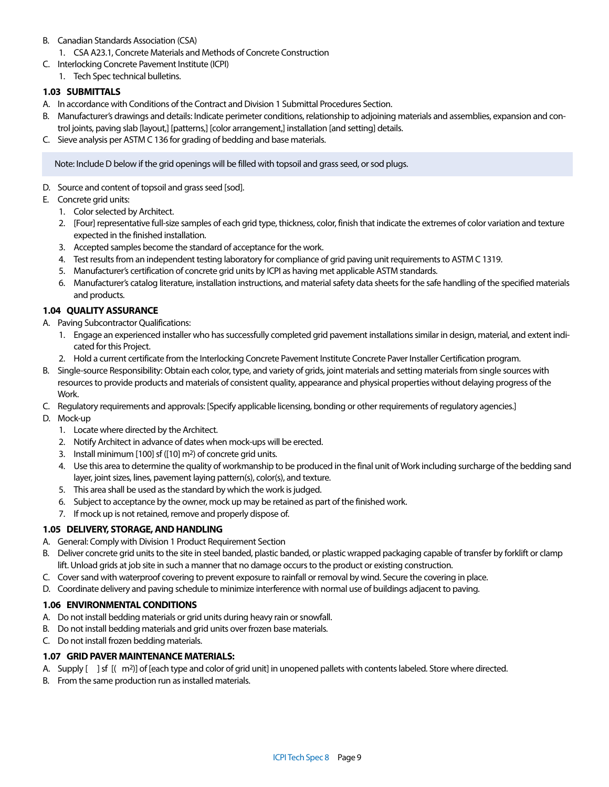- B. Canadian Standards Association (CSA)
	- 1. CSA A23.1, Concrete Materials and Methods of Concrete Construction
- C. Interlocking Concrete Pavement Institute (ICPI)
	- 1. Tech Spec technical bulletins.

# **1.03 SUBMITTALS**

- A. In accordance with Conditions of the Contract and Division 1 Submittal Procedures Section.
- B. Manufacturer's drawings and details: Indicate perimeter conditions, relationship to adjoining materials and assemblies, expansion and control joints, paving slab [layout,] [patterns,] [color arrangement,] installation [and setting] details.
- C. Sieve analysis per ASTM C 136 for grading of bedding and base materials.

Note: Include D below if the grid openings will be filled with topsoil and grass seed, or sod plugs.

- D. Source and content of topsoil and grass seed [sod].
- E. Concrete grid units:
	- 1. Color selected by Architect.
	- 2. [Four] representative full-size samples of each grid type, thickness, color, finish that indicate the extremes of color variation and texture expected in the finished installation.
	- 3. Accepted samples become the standard of acceptance for the work.
	- 4. Test results from an independent testing laboratory for compliance of grid paving unit requirements to ASTM C 1319.
	- 5. Manufacturer's certification of concrete grid units by ICPI as having met applicable ASTM standards.
	- 6. Manufacturer's catalog literature, installation instructions, and material safety data sheets for the safe handling of the specified materials and products.

# **1.04 QUALITY ASSURANCE**

- A. Paving Subcontractor Qualifications:
	- 1. Engage an experienced installer who has successfully completed grid pavement installations similar in design, material, and extent indicated for this Project.
	- 2. Hold a current certificate from the Interlocking Concrete Pavement Institute Concrete Paver Installer Certification program.
- B. Single-source Responsibility: Obtain each color, type, and variety of grids, joint materials and setting materials from single sources with resources to provide products and materials of consistent quality, appearance and physical properties without delaying progress of the Work.
- C. Regulatory requirements and approvals: [Specify applicable licensing, bonding or other requirements of regulatory agencies.]
- D. Mock-up
	- 1. Locate where directed by the Architect.
	- 2. Notify Architect in advance of dates when mock-ups will be erected.
	- 3. Install minimum [100] sf ([10] m2) of concrete grid units.
	- 4. Use this area to determine the quality of workmanship to be produced in the final unit of Work including surcharge of the bedding sand layer, joint sizes, lines, pavement laying pattern(s), color(s), and texture.
	- 5. This area shall be used as the standard by which the work is judged.
	- 6. Subject to acceptance by the owner, mock up may be retained as part of the finished work.
	- 7. If mock up is not retained, remove and properly dispose of.

# **1.05 DELIVERY, STORAGE, AND HANDLING**

- A. General: Comply with Division 1 Product Requirement Section
- B. Deliver concrete grid units to the site in steel banded, plastic banded, or plastic wrapped packaging capable of transfer by forklift or clamp lift. Unload grids at job site in such a manner that no damage occurs to the product or existing construction.
- C. Cover sand with waterproof covering to prevent exposure to rainfall or removal by wind. Secure the covering in place.
- D. Coordinate delivery and paving schedule to minimize interference with normal use of buildings adjacent to paving.

# **1.06 ENVIRONMENTAL CONDITIONS**

- A. Do not install bedding materials or grid units during heavy rain or snowfall.
- B. Do not install bedding materials and grid units over frozen base materials.
- C. Do not install frozen bedding materials.

# **1.07 GRID PAVER MAINTENANCE MATERIALS:**

- A. Supply [ ] sf  $[(m^2)]$  of [each type and color of grid unit] in unopened pallets with contents labeled. Store where directed.
- B. From the same production run as installed materials.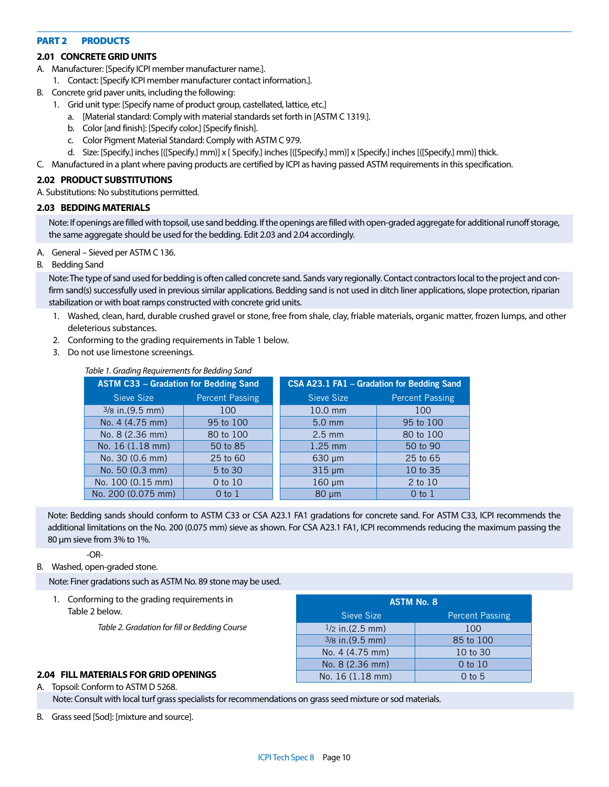#### PART 2 PRODUCTS

## **2.01 CONCRETE GRID UNITS**

- A. Manufacturer: [Specify ICPI member manufacturer name.].
- 1. Contact: [Specify ICPI member manufacturer contact information.].
- B. Concrete grid paver units, including the following:
	- 1. Grid unit type: [Specify name of product group, castellated, lattice, etc.]
		- a. [Material standard: Comply with material standards set forth in [ASTM C 1319.].
		- b. Color [and finish]: [Specify color.] [Specify finish].
		- c. Color Pigment Material Standard: Comply with ASTM C 979.
		- d. Size: [Specify.] inches [([Specify.] mm)] x [ Specify.] inches [([Specify.] mm)] x [Specify.] inches [([Specify.] mm)] thick.
- C. Manufactured in a plant where paving products are certified by ICPI as having passed ASTM requirements in this specification.

#### **2.02 PRODUCT SUBSTITUTIONS**

A. Substitutions: No substitutions permitted.

#### **2.03 BEDDING MATERIALS**

Note: If openings are filled with topsoil, use sand bedding. If the openings are filled with open-graded aggregate for additional runoff storage, the same aggregate should be used for the bedding. Edit 2.03 and 2.04 accordingly.

- A. General Sieved per ASTM C 136.
- B. Bedding Sand

Note: The type of sand used for bedding is often called concrete sand. Sands vary regionally. Contact contractors local to the project and confirm sand(s) successfully used in previous similar applications. Bedding sand is not used in ditch liner applications, slope protection, riparian stabilization or with boat ramps constructed with concrete grid units.

- 1. Washed, clean, hard, durable crushed gravel or stone, free from shale, clay, friable materials, organic matter, frozen lumps, and other deleterious substances.
- 2. Conforming to the grading requirements in Table 1 below.
- 3. Do not use limestone screenings.

| Table 1. Grading Requirements for Bedding Sand |                        |                                            |                        |  |  |
|------------------------------------------------|------------------------|--------------------------------------------|------------------------|--|--|
| <b>ASTM C33 - Gradation for Bedding Sand</b>   |                        | CSA A23.1 FA1 - Gradation for Bedding Sand |                        |  |  |
| Sieve Size                                     | <b>Percent Passing</b> | Sieve Size                                 | <b>Percent Passing</b> |  |  |
| $3/8$ in $(9.5$ mm)                            | 100                    | 10.0 mm                                    | 100                    |  |  |
| No. 4 (4.75 mm)                                | 95 to 100              | $5.0$ mm                                   | 95 to 100              |  |  |
| No. 8 (2.36 mm)                                | 80 to 100              | $2.5$ mm                                   | 80 to 100              |  |  |
| No. 16 (1.18 mm)                               | 50 to 85               | $1.25$ mm                                  | 50 to 90               |  |  |
| No. 30 (0.6 mm)                                | 25 to 60               | $630 \mu m$                                | 25 to 65               |  |  |
| No. 50 (0.3 mm)                                | 5 to 30                | $315 \mu m$                                | 10 to 35               |  |  |
| No. 100 (0.15 mm)                              | 0 to 10                | $160 \mu m$                                | 2 to 10                |  |  |
| No. 200 (0.075 mm)                             | $0$ to $1$             | $80 \mu m$                                 | $0$ to $1$             |  |  |

*Table 1. Grading Requirements for Bedding Sand*

Note: Bedding sands should conform to ASTM C33 or CSA A23.1 FA1 gradations for concrete sand. For ASTM C33, ICPI recommends the additional limitations on the No. 200 (0.075 mm) sieve as shown. For CSA A23.1 FA1, ICPI recommends reducing the maximum passing the 80 μm sieve from 3% to 1%.

-OR-

#### B. Washed, open-graded stone.

Note: Finer gradations such as ASTM No. 89 stone may be used.

1. Conforming to the grading requirements in Table 2 below.

*Table 2. Gradation for fill or Bedding Course*

| <b>ASTM No. 8</b>  |                        |  |  |  |
|--------------------|------------------------|--|--|--|
| Sieve Size         | <b>Percent Passing</b> |  |  |  |
| $1/2$ in. (2.5 mm) | 100                    |  |  |  |
| $3/8$ in. (9.5 mm) | 85 to 100              |  |  |  |
| No. 4 (4.75 mm)    | 10 to 30               |  |  |  |
| No. 8 (2.36 mm)    | $0$ to $10$            |  |  |  |
| No. 16 (1.18 mm)   | $0$ to 5               |  |  |  |

#### **2.04 FILL MATERIALS FOR GRID OPENINGS**

A. Topsoil: Conform to ASTM D 5268. Note: Consult with local turf grass specialists for recommendations on grass seed mixture or sod materials.

B. Grass seed [Sod]: [mixture and source].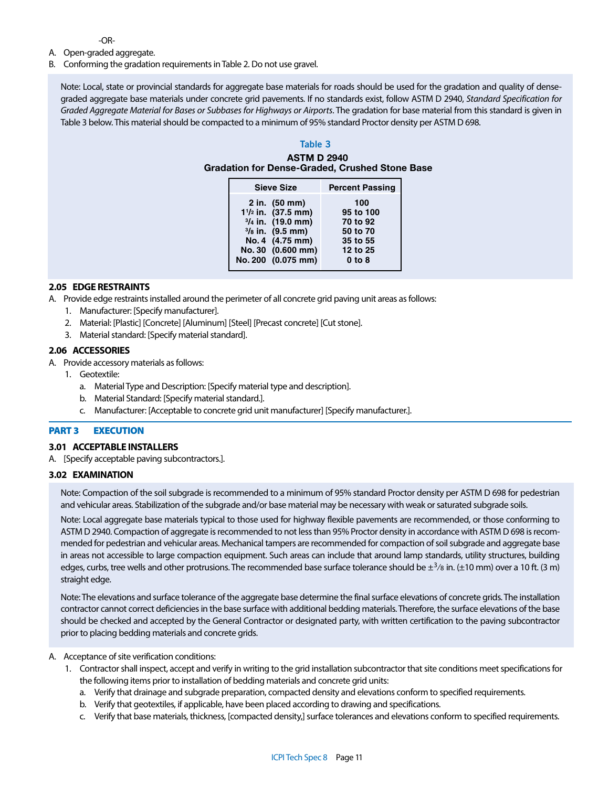-OR-

- A. Open-graded aggregate.
- B. Conforming the gradation requirements in Table 2. Do not use gravel.

Note: Local, state or provincial standards for aggregate base materials for roads should be used for the gradation and quality of densegraded aggregate base materials under concrete grid pavements. If no standards exist, follow ASTM D 2940, *Standard Specification for Graded Aggregate Material for Bases or Subbases for Highways or Airports*. The gradation for base material from this standard is given in Table 3 below. This material should be compacted to a minimum of 95% standard Proctor density per ASTM D 698.

# **Table 3**

ASTM D 2940 Gradation for Dense-Graded, Crushed Stone Base

| <b>Sieve Size</b>          | <b>Percent Passing</b> |
|----------------------------|------------------------|
| $2$ in. $(50 \text{ mm})$  | 100                    |
| $1^{1/2}$ in. (37.5 mm)    | 95 to 100              |
| $3/4$ in. (19.0 mm)        | 70 to 92               |
| $\frac{3}{8}$ in. (9.5 mm) | 50 to 70               |
| No. 4 (4.75 mm)            | 35 to 55               |
| No. 30 (0.600 mm)          | 12 to 25               |
| No. 200 (0.075 mm)         | $0$ to $8$             |

## **2.05 EDGE RESTRAINTS**

A. Provide edge restraints installed around the perimeter of all concrete grid paving unit areas as follows:

- 1. Manufacturer: [Specify manufacturer].
- 2. Material: [Plastic] [Concrete] [Aluminum] [Steel] [Precast concrete] [Cut stone].
- 3. Material standard: [Specify material standard].

#### **2.06 ACCESSORIES**

- A. Provide accessory materials as follows:
	- 1. Geotextile:
		- a. Material Type and Description: [Specify material type and description].
		- b. Material Standard: [Specify material standard.].
		- c. Manufacturer: [Acceptable to concrete grid unit manufacturer] [Specify manufacturer.].

#### PART 3 **EXECUTION**

#### **3.01 ACCEPTABLE INSTALLERS**

A. [Specify acceptable paving subcontractors.].

#### **3.02 EXAMINATION**

Note: Compaction of the soil subgrade is recommended to a minimum of 95% standard Proctor density per ASTM D 698 for pedestrian and vehicular areas. Stabilization of the subgrade and/or base material may be necessary with weak or saturated subgrade soils.

Note: Local aggregate base materials typical to those used for highway flexible pavements are recommended, or those conforming to ASTM D 2940. Compaction of aggregate is recommended to not less than 95% Proctor density in accordance with ASTM D 698 is recommended for pedestrian and vehicular areas. Mechanical tampers are recommended for compaction of soil subgrade and aggregate base in areas not accessible to large compaction equipment. Such areas can include that around lamp standards, utility structures, building edges, curbs, tree wells and other protrusions. The recommended base surface tolerance should be  $\pm^{3}$ /8 in. ( $\pm$ 10 mm) over a 10 ft. (3 m) straight edge.

Note: The elevations and surface tolerance of the aggregate base determine the final surface elevations of concrete grids. The installation contractor cannot correct deficiencies in the base surface with additional bedding materials. Therefore, the surface elevations of the base should be checked and accepted by the General Contractor or designated party, with written certification to the paving subcontractor prior to placing bedding materials and concrete grids.

#### A. Acceptance of site verification conditions:

- 1. Contractor shall inspect, accept and verify in writing to the grid installation subcontractor that site conditions meet specifications for the following items prior to installation of bedding materials and concrete grid units:
	- a. Verify that drainage and subgrade preparation, compacted density and elevations conform to specified requirements.
	- b. Verify that geotextiles, if applicable, have been placed according to drawing and specifications.
	- c. Verify that base materials, thickness, [compacted density,] surface tolerances and elevations conform to specified requirements.